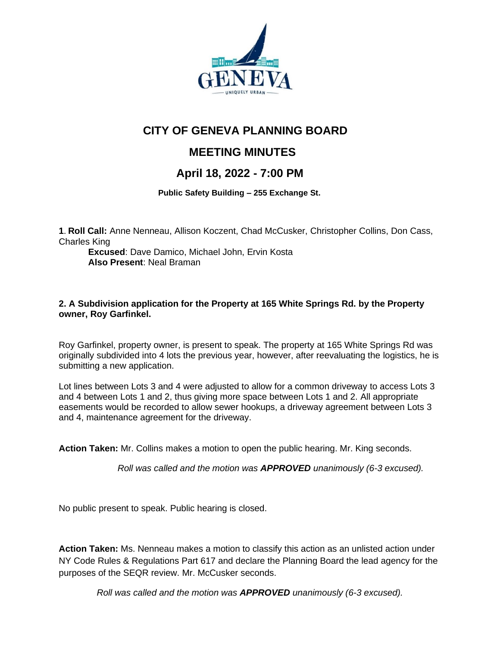

# **CITY OF GENEVA PLANNING BOARD**

## **MEETING MINUTES**

## **April 18, 2022 - 7:00 PM**

 **Public Safety Building – 255 Exchange St.**

**1**. **Roll Call:** Anne Nenneau, Allison Koczent, Chad McCusker, Christopher Collins, Don Cass, Charles King

**Excused**: Dave Damico, Michael John, Ervin Kosta **Also Present**: Neal Braman

### **2. A Subdivision application for the Property at 165 White Springs Rd. by the Property owner, Roy Garfinkel.**

Roy Garfinkel, property owner, is present to speak. The property at 165 White Springs Rd was originally subdivided into 4 lots the previous year, however, after reevaluating the logistics, he is submitting a new application.

Lot lines between Lots 3 and 4 were adjusted to allow for a common driveway to access Lots 3 and 4 between Lots 1 and 2, thus giving more space between Lots 1 and 2. All appropriate easements would be recorded to allow sewer hookups, a driveway agreement between Lots 3 and 4, maintenance agreement for the driveway.

**Action Taken:** Mr. Collins makes a motion to open the public hearing. Mr. King seconds.

*Roll was called and the motion was APPROVED unanimously (6-3 excused).*

No public present to speak. Public hearing is closed.

**Action Taken:** Ms. Nenneau makes a motion to classify this action as an unlisted action under NY Code Rules & Regulations Part 617 and declare the Planning Board the lead agency for the purposes of the SEQR review. Mr. McCusker seconds.

*Roll was called and the motion was APPROVED unanimously (6-3 excused).*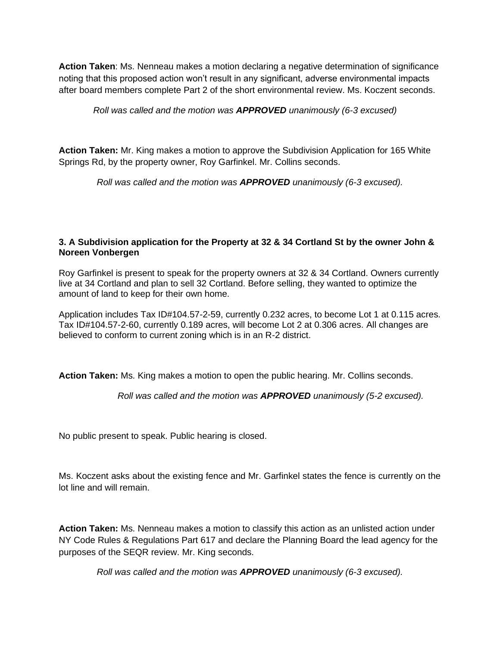**Action Taken**: Ms. Nenneau makes a motion declaring a negative determination of significance noting that this proposed action won't result in any significant, adverse environmental impacts after board members complete Part 2 of the short environmental review. Ms. Koczent seconds.

*Roll was called and the motion was APPROVED unanimously (6-3 excused)*

**Action Taken:** Mr. King makes a motion to approve the Subdivision Application for 165 White Springs Rd, by the property owner, Roy Garfinkel. Mr. Collins seconds.

*Roll was called and the motion was APPROVED unanimously (6-3 excused).*

#### **3. A Subdivision application for the Property at 32 & 34 Cortland St by the owner John & Noreen Vonbergen**

Roy Garfinkel is present to speak for the property owners at 32 & 34 Cortland. Owners currently live at 34 Cortland and plan to sell 32 Cortland. Before selling, they wanted to optimize the amount of land to keep for their own home.

Application includes Tax ID#104.57-2-59, currently 0.232 acres, to become Lot 1 at 0.115 acres. Tax ID#104.57-2-60, currently 0.189 acres, will become Lot 2 at 0.306 acres. All changes are believed to conform to current zoning which is in an R-2 district.

**Action Taken:** Ms. King makes a motion to open the public hearing. Mr. Collins seconds.

*Roll was called and the motion was APPROVED unanimously (5-2 excused).*

No public present to speak. Public hearing is closed.

Ms. Koczent asks about the existing fence and Mr. Garfinkel states the fence is currently on the lot line and will remain.

**Action Taken:** Ms. Nenneau makes a motion to classify this action as an unlisted action under NY Code Rules & Regulations Part 617 and declare the Planning Board the lead agency for the purposes of the SEQR review. Mr. King seconds.

*Roll was called and the motion was APPROVED unanimously (6-3 excused).*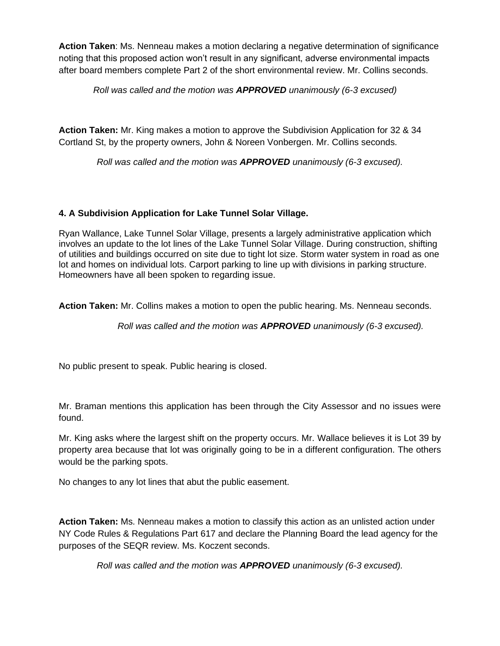**Action Taken**: Ms. Nenneau makes a motion declaring a negative determination of significance noting that this proposed action won't result in any significant, adverse environmental impacts after board members complete Part 2 of the short environmental review. Mr. Collins seconds.

*Roll was called and the motion was APPROVED unanimously (6-3 excused)*

**Action Taken:** Mr. King makes a motion to approve the Subdivision Application for 32 & 34 Cortland St, by the property owners, John & Noreen Vonbergen. Mr. Collins seconds.

*Roll was called and the motion was APPROVED unanimously (6-3 excused).*

### **4. A Subdivision Application for Lake Tunnel Solar Village.**

Ryan Wallance, Lake Tunnel Solar Village, presents a largely administrative application which involves an update to the lot lines of the Lake Tunnel Solar Village. During construction, shifting of utilities and buildings occurred on site due to tight lot size. Storm water system in road as one lot and homes on individual lots. Carport parking to line up with divisions in parking structure. Homeowners have all been spoken to regarding issue.

**Action Taken:** Mr. Collins makes a motion to open the public hearing. Ms. Nenneau seconds.

*Roll was called and the motion was APPROVED unanimously (6-3 excused).*

No public present to speak. Public hearing is closed.

Mr. Braman mentions this application has been through the City Assessor and no issues were found.

Mr. King asks where the largest shift on the property occurs. Mr. Wallace believes it is Lot 39 by property area because that lot was originally going to be in a different configuration. The others would be the parking spots.

No changes to any lot lines that abut the public easement.

**Action Taken:** Ms. Nenneau makes a motion to classify this action as an unlisted action under NY Code Rules & Regulations Part 617 and declare the Planning Board the lead agency for the purposes of the SEQR review. Ms. Koczent seconds.

*Roll was called and the motion was APPROVED unanimously (6-3 excused).*